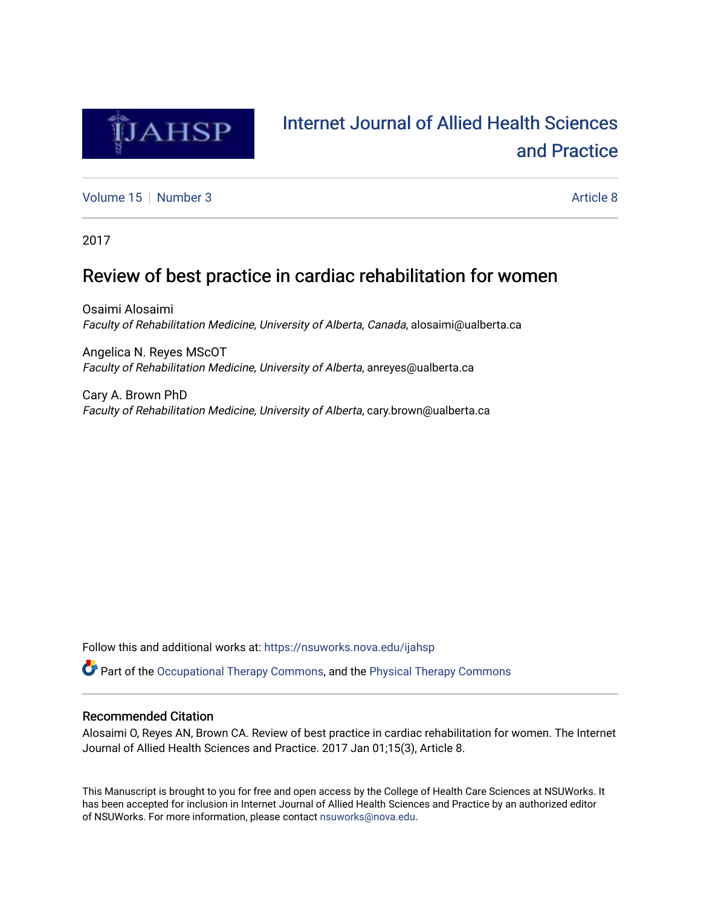

# [Internet Journal of Allied Health Sciences](https://nsuworks.nova.edu/ijahsp)  [and Practice](https://nsuworks.nova.edu/ijahsp)

[Volume 15](https://nsuworks.nova.edu/ijahsp/vol15) [Number 3](https://nsuworks.nova.edu/ijahsp/vol15/iss3) Article 8

2017

# Review of best practice in cardiac rehabilitation for women

Osaimi Alosaimi Faculty of Rehabilitation Medicine, University of Alberta, Canada, alosaimi@ualberta.ca

Angelica N. Reyes MScOT Faculty of Rehabilitation Medicine, University of Alberta, anreyes@ualberta.ca

Cary A. Brown PhD Faculty of Rehabilitation Medicine, University of Alberta, cary.brown@ualberta.ca

Follow this and additional works at: [https://nsuworks.nova.edu/ijahsp](https://nsuworks.nova.edu/ijahsp?utm_source=nsuworks.nova.edu%2Fijahsp%2Fvol15%2Fiss3%2F8&utm_medium=PDF&utm_campaign=PDFCoverPages) 

Part of the [Occupational Therapy Commons,](http://network.bepress.com/hgg/discipline/752?utm_source=nsuworks.nova.edu%2Fijahsp%2Fvol15%2Fiss3%2F8&utm_medium=PDF&utm_campaign=PDFCoverPages) and the [Physical Therapy Commons](http://network.bepress.com/hgg/discipline/754?utm_source=nsuworks.nova.edu%2Fijahsp%2Fvol15%2Fiss3%2F8&utm_medium=PDF&utm_campaign=PDFCoverPages) 

### Recommended Citation

Alosaimi O, Reyes AN, Brown CA. Review of best practice in cardiac rehabilitation for women. The Internet Journal of Allied Health Sciences and Practice. 2017 Jan 01;15(3), Article 8.

This Manuscript is brought to you for free and open access by the College of Health Care Sciences at NSUWorks. It has been accepted for inclusion in Internet Journal of Allied Health Sciences and Practice by an authorized editor of NSUWorks. For more information, please contact [nsuworks@nova.edu.](mailto:nsuworks@nova.edu)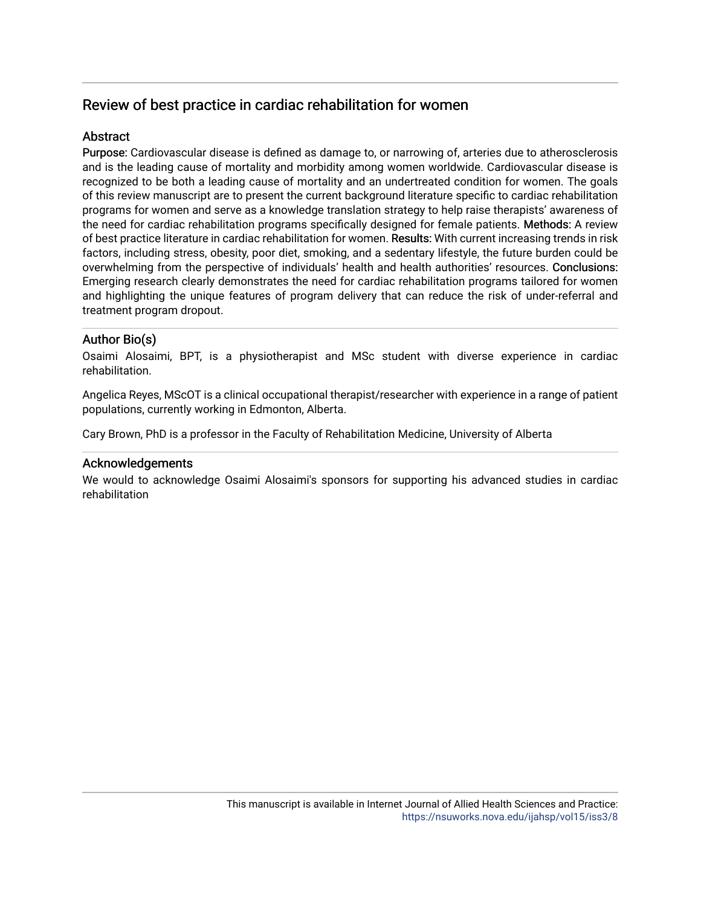## Review of best practice in cardiac rehabilitation for women

## Abstract

Purpose: Cardiovascular disease is defined as damage to, or narrowing of, arteries due to atherosclerosis and is the leading cause of mortality and morbidity among women worldwide. Cardiovascular disease is recognized to be both a leading cause of mortality and an undertreated condition for women. The goals of this review manuscript are to present the current background literature specific to cardiac rehabilitation programs for women and serve as a knowledge translation strategy to help raise therapists' awareness of the need for cardiac rehabilitation programs specifically designed for female patients. Methods: A review of best practice literature in cardiac rehabilitation for women. Results: With current increasing trends in risk factors, including stress, obesity, poor diet, smoking, and a sedentary lifestyle, the future burden could be overwhelming from the perspective of individuals' health and health authorities' resources. Conclusions: Emerging research clearly demonstrates the need for cardiac rehabilitation programs tailored for women and highlighting the unique features of program delivery that can reduce the risk of under-referral and treatment program dropout.

## Author Bio(s)

Osaimi Alosaimi, BPT, is a physiotherapist and MSc student with diverse experience in cardiac rehabilitation.

Angelica Reyes, MScOT is a clinical occupational therapist/researcher with experience in a range of patient populations, currently working in Edmonton, Alberta.

Cary Brown, PhD is a professor in the Faculty of Rehabilitation Medicine, University of Alberta

### Acknowledgements

We would to acknowledge Osaimi Alosaimi's sponsors for supporting his advanced studies in cardiac rehabilitation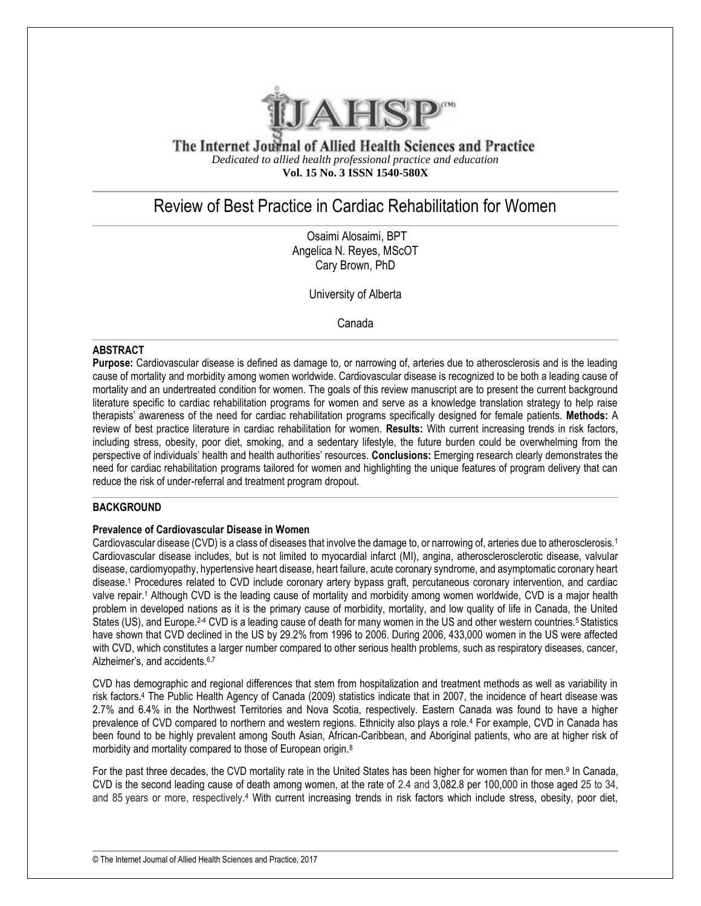

The Internet Journal of Allied Health Sciences and Practice *Dedicated to allied health professional practice and education* **Vol. 15 No. 3 ISSN 1540-580X**

## Review of Best Practice in Cardiac Rehabilitation for Women

Osaimi Alosaimi, BPT Angelica N. Reyes, MScOT Cary Brown, PhD

University of Alberta

Canada

#### **ABSTRACT**

**Purpose:** Cardiovascular disease is defined as damage to, or narrowing of, arteries due to atherosclerosis and is the leading cause of mortality and morbidity among women worldwide. Cardiovascular disease is recognized to be both a leading cause of mortality and an undertreated condition for women. The goals of this review manuscript are to present the current background literature specific to cardiac rehabilitation programs for women and serve as a knowledge translation strategy to help raise therapists' awareness of the need for cardiac rehabilitation programs specifically designed for female patients. **Methods:** A review of best practice literature in cardiac rehabilitation for women. **Results:** With current increasing trends in risk factors, including stress, obesity, poor diet, smoking, and a sedentary lifestyle, the future burden could be overwhelming from the perspective of individuals' health and health authorities' resources. **Conclusions:** Emerging research clearly demonstrates the need for cardiac rehabilitation programs tailored for women and highlighting the unique features of program delivery that can reduce the risk of under-referral and treatment program dropout.

#### **BACKGROUND**

#### **Prevalence of Cardiovascular Disease in Women**

Cardiovascular disease (CVD) is a class of diseases that involve the damage to, or narrowing of, arteries due to atherosclerosis.<sup>1</sup> Cardiovascular disease includes, but is not limited to myocardial infarct (MI), angina, atherosclerosclerotic disease, valvular disease, cardiomyopathy, hypertensive heart disease, heart failure, acute coronary syndrome, and asymptomatic coronary heart disease.<sup>1</sup> Procedures related to CVD include coronary artery bypass graft, percutaneous coronary intervention, and cardiac valve repair.<sup>1</sup> Although CVD is the leading cause of mortality and morbidity among women worldwide, CVD is a major health problem in developed nations as it is the primary cause of morbidity, mortality, and low quality of life in Canada, the United States (US), and Europe.<sup>2-4</sup> CVD is a leading cause of death for many women in the US and other western countries.<sup>5</sup> Statistics have shown that CVD declined in the US by 29.2% from 1996 to 2006. During 2006, 433,000 women in the US were affected with CVD, which constitutes a larger number compared to other serious health problems, such as respiratory diseases, cancer, Alzheimer's, and accidents.6,7

CVD has demographic and regional differences that stem from hospitalization and treatment methods as well as variability in risk factors.<sup>4</sup> The Public Health Agency of Canada (2009) statistics indicate that in 2007, the incidence of heart disease was 2.7% and 6.4% in the Northwest Territories and Nova Scotia, respectively. Eastern Canada was found to have a higher prevalence of CVD compared to northern and western regions. Ethnicity also plays a role.<sup>4</sup> For example, CVD in Canada has been found to be highly prevalent among South Asian, African-Caribbean, and Aboriginal patients, who are at higher risk of morbidity and mortality compared to those of European origin.<sup>8</sup>

For the past three decades, the CVD mortality rate in the United States has been higher for women than for men.<sup>9</sup> In Canada, CVD is the second leading cause of death among women, at the rate of 2.4 and 3,082.8 per 100,000 in those aged 25 to 34, and 85 years or more, respectively.<sup>4</sup> With current increasing trends in risk factors which include stress, obesity, poor diet,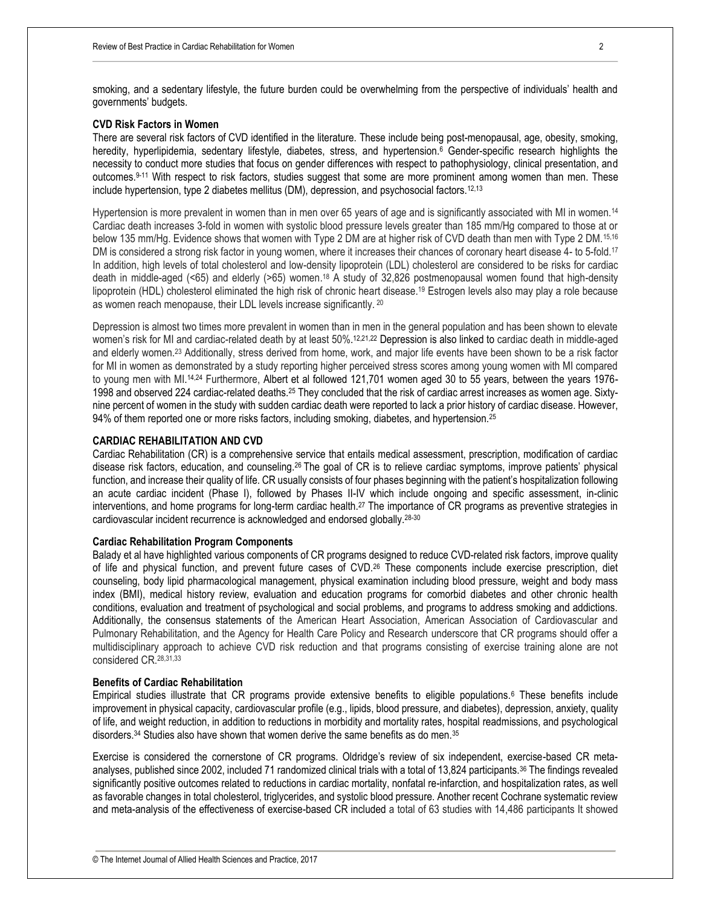smoking, and a sedentary lifestyle, the future burden could be overwhelming from the perspective of individuals' health and governments' budgets.

#### **CVD Risk Factors in Women**

There are several risk factors of CVD identified in the literature. These include being post-menopausal, age, obesity, smoking, heredity, hyperlipidemia, sedentary lifestyle, diabetes, stress, and hypertension.<sup>6</sup> Gender-specific research highlights the necessity to conduct more studies that focus on gender differences with respect to pathophysiology, clinical presentation, and outcomes.9-11 With respect to risk factors, studies suggest that some are more prominent among women than men. These include hypertension, type 2 diabetes mellitus (DM), depression, and psychosocial factors.<sup>12,13</sup>

Hypertension is more prevalent in women than in men over 65 years of age and is significantly associated with MI in women.<sup>14</sup> Cardiac death increases 3-fold in women with systolic blood pressure levels greater than 185 mm/Hg compared to those at or below 135 mm/Hg. Evidence shows that women with Type 2 DM are at higher risk of CVD death than men with Type 2 DM.15,16 DM is considered a strong risk factor in young women, where it increases their chances of coronary heart disease 4- to 5-fold.<sup>17</sup> In addition, high levels of total cholesterol and low-density lipoprotein (LDL) cholesterol are considered to be risks for cardiac death in middle-aged (<65) and elderly (>65) women. <sup>18</sup> A study of 32,826 postmenopausal women found that high-density lipoprotein (HDL) cholesterol eliminated the high risk of chronic heart disease.<sup>19</sup> Estrogen levels also may play a role because as women reach menopause, their LDL levels increase significantly. <sup>20</sup>

Depression is almost two times more prevalent in women than in men in the general population and has been shown to elevate women's risk for MI and cardiac-related death by at least 50%.<sup>12,21,22</sup> Depression is also linked to cardiac death in middle-aged and elderly women.<sup>23</sup> Additionally, stress derived from home, work, and major life events have been shown to be a risk factor for MI in women as demonstrated by a study reporting higher perceived stress scores among young women with MI compared to young men with MI.<sup>14,24</sup> Furthermore, Albert et al followed 121,701 women aged 30 to 55 years, between the years 1976-1998 and observed 224 cardiac-related deaths.<sup>25</sup> They concluded that the risk of cardiac arrest increases as women age. Sixtynine percent of women in the study with sudden cardiac death were reported to lack a prior history of cardiac disease. However, 94% of them reported one or more risks factors, including smoking, diabetes, and hypertension.<sup>25</sup>

#### **CARDIAC REHABILITATION AND CVD**

Cardiac Rehabilitation (CR) is a comprehensive service that entails medical assessment, prescription, modification of cardiac disease risk factors, education, and counseling.26 The goal of CR is to relieve cardiac symptoms, improve patients' physical function, and increase their quality of life. CR usually consists of four phases beginning with the patient's hospitalization following an acute cardiac incident (Phase I), followed by Phases II-IV which include ongoing and specific assessment, in-clinic interventions, and home programs for long-term cardiac health.<sup>27</sup> The importance of CR programs as preventive strategies in cardiovascular incident recurrence is acknowledged and endorsed globally.28-30

#### **Cardiac Rehabilitation Program Components**

Balady et al have highlighted various components of CR programs designed to reduce CVD-related risk factors, improve quality of life and physical function, and prevent future cases of CVD.<sup>26</sup> These components include exercise prescription, diet counseling, body lipid pharmacological management, physical examination including blood pressure, weight and body mass index (BMI), medical history review, evaluation and education programs for comorbid diabetes and other chronic health conditions, evaluation and treatment of psychological and social problems, and programs to address smoking and addictions. Additionally, the consensus statements of the American Heart Association, American Association of Cardiovascular and Pulmonary Rehabilitation, and the Agency for Health Care Policy and Research underscore that CR programs should offer a multidisciplinary approach to achieve CVD risk reduction and that programs consisting of exercise training alone are not considered CR.28,31,33

#### **Benefits of Cardiac Rehabilitation**

Empirical studies illustrate that CR programs provide extensive benefits to eligible populations.<sup>6</sup> These benefits include improvement in physical capacity, cardiovascular profile (e.g., lipids, blood pressure, and diabetes), depression, anxiety, quality of life, and weight reduction, in addition to reductions in morbidity and mortality rates, hospital readmissions, and psychological disorders.<sup>34</sup> Studies also have shown that women derive the same benefits as do men.<sup>35</sup>

Exercise is considered the cornerstone of CR programs. Oldridge's review of six independent, exercise-based CR metaanalyses, published since 2002, included 71 randomized clinical trials with a total of 13,824 participants.<sup>36</sup> The findings revealed significantly positive outcomes related to reductions in cardiac mortality, nonfatal re-infarction, and hospitalization rates, as well as favorable changes in total cholesterol, triglycerides, and systolic blood pressure. Another recent Cochrane systematic review and meta-analysis of the effectiveness of exercise-based CR included a total of 63 studies with 14,486 participants It showed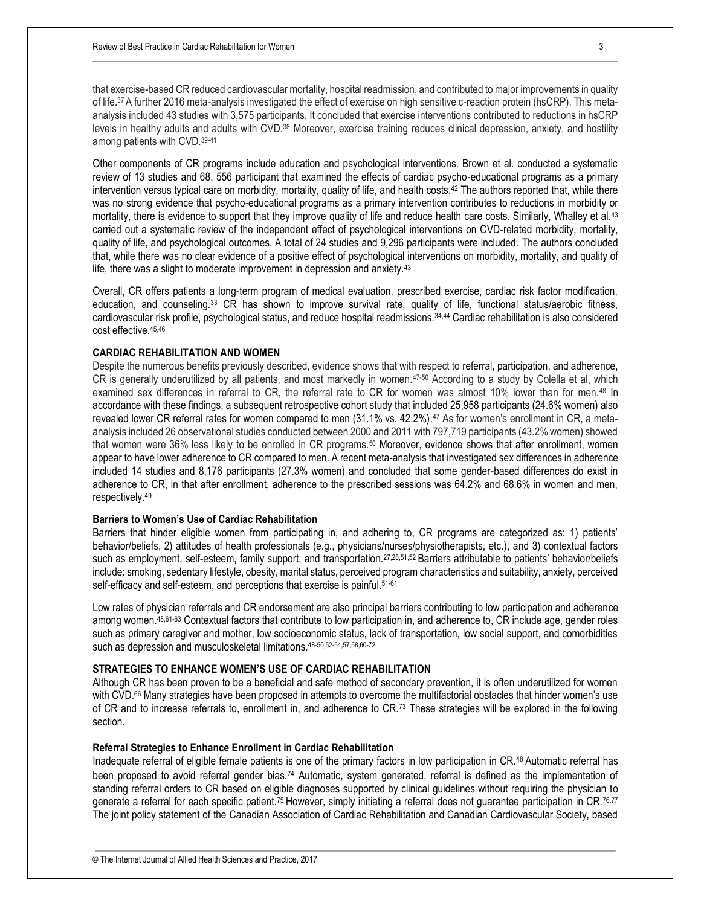that exercise-based CR reduced cardiovascular mortality, hospital readmission, and contributed to major improvements in quality of life.37 A further 2016 meta-analysis investigated the effect of exercise on high sensitive c-reaction protein (hsCRP). This metaanalysis included 43 studies with 3,575 participants. It concluded that exercise interventions contributed to reductions in hsCRP levels in healthy adults and adults with CVD.<sup>38</sup> Moreover, exercise training reduces clinical depression, anxiety, and hostility among patients with CVD.39-41

Other components of CR programs include education and psychological interventions. Brown et al. conducted a systematic review of 13 studies and 68, 556 participant that examined the effects of cardiac psycho-educational programs as a primary intervention versus typical care on morbidity, mortality, quality of life, and health costs.<sup>42</sup> The authors reported that, while there was no strong evidence that psycho-educational programs as a primary intervention contributes to reductions in morbidity or mortality, there is evidence to support that they improve quality of life and reduce health care costs. Similarly, Whalley et al.<sup>43</sup> carried out a systematic review of the independent effect of psychological interventions on CVD-related morbidity, mortality, quality of life, and psychological outcomes. A total of 24 studies and 9,296 participants were included. The authors concluded that, while there was no clear evidence of a positive effect of psychological interventions on morbidity, mortality, and quality of life, there was a slight to moderate improvement in depression and anxiety.<sup>43</sup>

Overall, CR offers patients a long-term program of medical evaluation, prescribed exercise, cardiac risk factor modification, education, and counseling.<sup>33</sup> CR has shown to improve survival rate, quality of life, functional status/aerobic fitness, cardiovascular risk profile, psychological status, and reduce hospital readmissions.34,44 Cardiac rehabilitation is also considered cost effective.45,46

#### **CARDIAC REHABILITATION AND WOMEN**

Despite the numerous benefits previously described, evidence shows that with respect to referral, participation, and adherence, CR is generally underutilized by all patients, and most markedly in women.<sup>47-50</sup> According to a study by Colella et al, which examined sex differences in referral to CR, the referral rate to CR for women was almost 10% lower than for men.<sup>48</sup> In accordance with these findings, a subsequent retrospective cohort study that included 25,958 participants (24.6% women) also revealed lower CR referral rates for women compared to men (31.1% vs. 42.2%). <sup>47</sup> As for women's enrollment in CR, a metaanalysis included 26 observational studies conducted between 2000 and 2011 with 797,719 participants (43.2% women) showed that women were 36% less likely to be enrolled in CR programs.<sup>50</sup> Moreover, evidence shows that after enrollment, women appear to have lower adherence to CR compared to men. A recent meta-analysis that investigated sex differences in adherence included 14 studies and 8,176 participants (27.3% women) and concluded that some gender-based differences do exist in adherence to CR, in that after enrollment, adherence to the prescribed sessions was 64.2% and 68.6% in women and men, respectively.<sup>49</sup>

#### **Barriers to Women's Use of Cardiac Rehabilitation**

Barriers that hinder eligible women from participating in, and adhering to, CR programs are categorized as: 1) patients' behavior/beliefs, 2) attitudes of health professionals (e.g., physicians/nurses/physiotherapists, etc.), and 3) contextual factors such as employment, self-esteem, family support, and transportation.<sup>27,28,51,52</sup> Barriers attributable to patients' behavior/beliefs include: smoking, sedentary lifestyle, obesity, marital status, perceived program characteristics and suitability, anxiety, perceived self-efficacy and self-esteem, and perceptions that exercise is painful.<sup>51-61</sup>

Low rates of physician referrals and CR endorsement are also principal barriers contributing to low participation and adherence among women.48,61-63 Contextual factors that contribute to low participation in, and adherence to, CR include age, gender roles such as primary caregiver and mother, low socioeconomic status, lack of transportation, low social support, and comorbidities such as depression and musculoskeletal limitations.48-50,52-54,57,58,60-72

#### **STRATEGIES TO ENHANCE WOMEN'S USE OF CARDIAC REHABILITATION**

Although CR has been proven to be a beneficial and safe method of secondary prevention, it is often underutilized for women with CVD.<sup>66</sup> Many strategies have been proposed in attempts to overcome the multifactorial obstacles that hinder women's use of CR and to increase referrals to, enrollment in, and adherence to CR.<sup>73</sup> These strategies will be explored in the following section.

#### **Referral Strategies to Enhance Enrollment in Cardiac Rehabilitation**

Inadequate referral of eligible female patients is one of the primary factors in low participation in CR.48 Automatic referral has been proposed to avoid referral gender bias.<sup>74</sup> Automatic, system generated, referral is defined as the implementation of standing referral orders to CR based on eligible diagnoses supported by clinical guidelines without requiring the physician to generate a referral for each specific patient.<sup>75</sup> However, simply initiating a referral does not guarantee participation in CR.<sup>76,77</sup> The joint policy statement of the Canadian Association of Cardiac Rehabilitation and Canadian Cardiovascular Society, based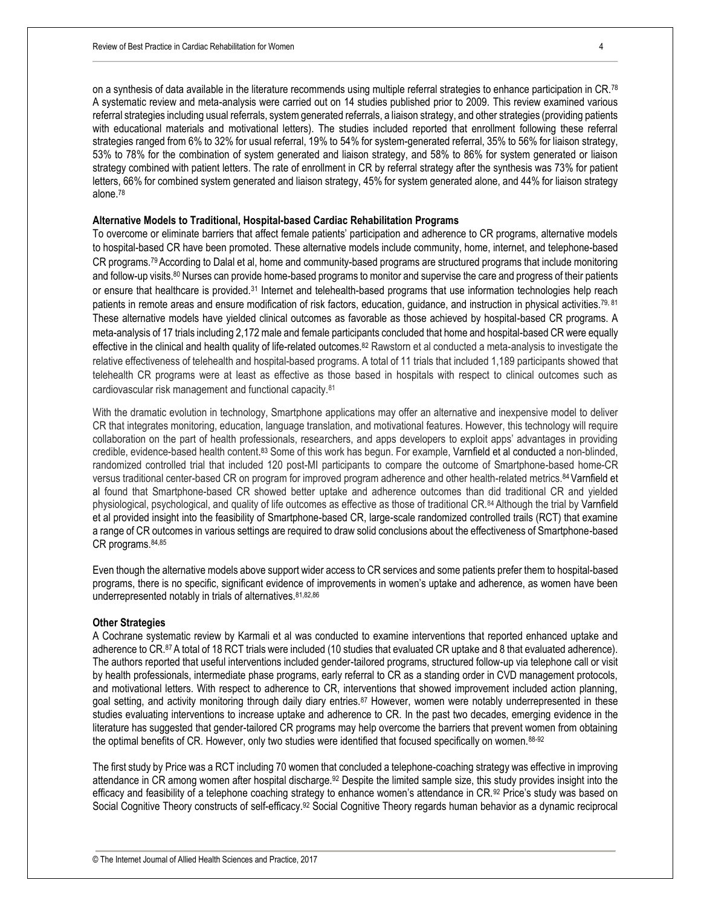on a synthesis of data available in the literature recommends using multiple referral strategies to enhance participation in CR.<sup>78</sup> A systematic review and meta-analysis were carried out on 14 studies published prior to 2009. This review examined various referral strategies including usual referrals, system generated referrals, a liaison strategy, and other strategies (providing patients with educational materials and motivational letters). The studies included reported that enrollment following these referral strategies ranged from 6% to 32% for usual referral, 19% to 54% for system-generated referral, 35% to 56% for liaison strategy, 53% to 78% for the combination of system generated and liaison strategy, and 58% to 86% for system generated or liaison strategy combined with patient letters. The rate of enrollment in CR by referral strategy after the synthesis was 73% for patient letters, 66% for combined system generated and liaison strategy, 45% for system generated alone, and 44% for liaison strategy alone.<sup>78</sup>

#### **Alternative Models to Traditional, Hospital-based Cardiac Rehabilitation Programs**

To overcome or eliminate barriers that affect female patients' participation and adherence to CR programs, alternative models to hospital-based CR have been promoted. These alternative models include community, home, internet, and telephone-based CR programs.79 According to Dalal et al, home and community-based programs are structured programs that include monitoring and follow-up visits.<sup>80</sup> Nurses can provide home-based programs to monitor and supervise the care and progress of their patients or ensure that healthcare is provided.<sup>31</sup> Internet and telehealth-based programs that use information technologies help reach patients in remote areas and ensure modification of risk factors, education, quidance, and instruction in physical activities.<sup>79, 81</sup> These alternative models have yielded clinical outcomes as favorable as those achieved by hospital-based CR programs. A meta-analysis of 17 trials including 2,172 male and female participants concluded that home and hospital-based CR were equally effective in the clinical and health quality of life-related outcomes.<sup>82</sup> Rawstorn et al conducted a meta-analysis to investigate the relative effectiveness of telehealth and hospital-based programs. A total of 11 trials that included 1,189 participants showed that telehealth CR programs were at least as effective as those based in hospitals with respect to clinical outcomes such as cardiovascular risk management and functional capacity.<sup>81</sup>

With the dramatic evolution in technology, Smartphone applications may offer an alternative and inexpensive model to deliver CR that integrates monitoring, education, language translation, and motivational features. However, this technology will require collaboration on the part of health professionals, researchers, and apps developers to exploit apps' advantages in providing credible, evidence-based health content.<sup>83</sup> Some of this work has begun. For example, Varnfield et al conducted a non-blinded, randomized controlled trial that included 120 post-MI participants to compare the outcome of Smartphone-based home-CR versus traditional center-based CR on program for improved program adherence and other health-related metrics.<sup>84</sup> Varnfield et al found that Smartphone-based CR showed better uptake and adherence outcomes than did traditional CR and yielded physiological, psychological, and quality of life outcomes as effective as those of traditional CR.84 Although the trial by Varnfield et al provided insight into the feasibility of Smartphone-based CR, large-scale randomized controlled trails (RCT) that examine a range of CR outcomes in various settings are required to draw solid conclusions about the effectiveness of Smartphone-based CR programs.84,85

Even though the alternative models above support wider access to CR services and some patients prefer them to hospital-based programs, there is no specific, significant evidence of improvements in women's uptake and adherence, as women have been underrepresented notably in trials of alternatives. 81,82,86

#### **Other Strategies**

A Cochrane systematic review by Karmali et al was conducted to examine interventions that reported enhanced uptake and adherence to CR.87 A total of 18 RCT trials were included (10 studies that evaluated CR uptake and 8 that evaluated adherence). The authors reported that useful interventions included gender-tailored programs, structured follow-up via telephone call or visit by health professionals, intermediate phase programs, early referral to CR as a standing order in CVD management protocols, and motivational letters. With respect to adherence to CR, interventions that showed improvement included action planning, goal setting, and activity monitoring through daily diary entries.<sup>87</sup> However, women were notably underrepresented in these studies evaluating interventions to increase uptake and adherence to CR. In the past two decades, emerging evidence in the literature has suggested that gender-tailored CR programs may help overcome the barriers that prevent women from obtaining the optimal benefits of CR. However, only two studies were identified that focused specifically on women.88-92

The first study by Price was a RCT including 70 women that concluded a telephone-coaching strategy was effective in improving attendance in CR among women after hospital discharge.<sup>92</sup> Despite the limited sample size, this study provides insight into the efficacy and feasibility of a telephone coaching strategy to enhance women's attendance in CR.92 Price's study was based on Social Cognitive Theory constructs of self-efficacy.<sup>92</sup> Social Cognitive Theory regards human behavior as a dynamic reciprocal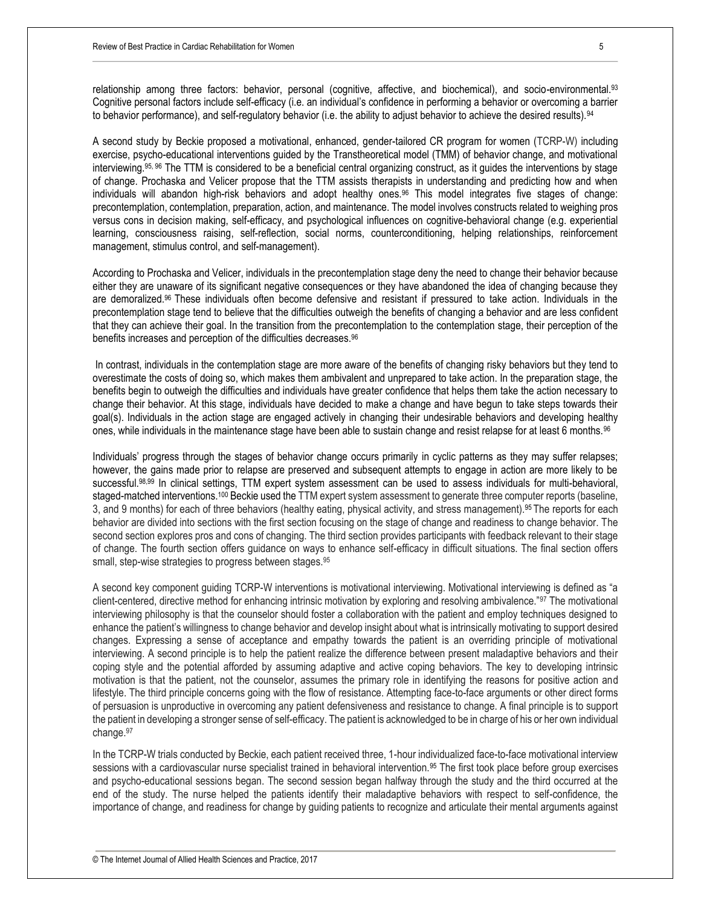relationship among three factors: behavior, personal (cognitive, affective, and biochemical), and socio-environmental.93 Cognitive personal factors include self-efficacy (i.e. an individual's confidence in performing a behavior or overcoming a barrier to behavior performance), and self-regulatory behavior (i.e. the ability to adjust behavior to achieve the desired results).<sup>94</sup>

A second study by Beckie proposed a motivational, enhanced, gender-tailored CR program for women (TCRP-W) including exercise, psycho-educational interventions guided by the Transtheoretical model (TMM) of behavior change, and motivational interviewing.95, 96 The TTM is considered to be a beneficial central organizing construct, as it guides the interventions by stage of change. Prochaska and Velicer propose that the TTM assists therapists in understanding and predicting how and when individuals will abandon high-risk behaviors and adopt healthy ones.<sup>96</sup> This model integrates five stages of change: precontemplation, contemplation, preparation, action, and maintenance. The model involves constructs related to weighing pros versus cons in decision making, self-efficacy, and psychological influences on cognitive-behavioral change (e.g. experiential learning, consciousness raising, self-reflection, social norms, counterconditioning, helping relationships, reinforcement management, stimulus control, and self-management).

According to Prochaska and Velicer, individuals in the precontemplation stage deny the need to change their behavior because either they are unaware of its significant negative consequences or they have abandoned the idea of changing because they are demoralized.96 These individuals often become defensive and resistant if pressured to take action. Individuals in the precontemplation stage tend to believe that the difficulties outweigh the benefits of changing a behavior and are less confident that they can achieve their goal. In the transition from the precontemplation to the contemplation stage, their perception of the benefits increases and perception of the difficulties decreases.<sup>96</sup>

In contrast, individuals in the contemplation stage are more aware of the benefits of changing risky behaviors but they tend to overestimate the costs of doing so, which makes them ambivalent and unprepared to take action. In the preparation stage, the benefits begin to outweigh the difficulties and individuals have greater confidence that helps them take the action necessary to change their behavior. At this stage, individuals have decided to make a change and have begun to take steps towards their goal(s). Individuals in the action stage are engaged actively in changing their undesirable behaviors and developing healthy ones, while individuals in the maintenance stage have been able to sustain change and resist relapse for at least 6 months.<sup>96</sup>

Individuals' progress through the stages of behavior change occurs primarily in cyclic patterns as they may suffer relapses; however, the gains made prior to relapse are preserved and subsequent attempts to engage in action are more likely to be successful.<sup>98,99</sup> In clinical settings, TTM expert system assessment can be used to assess individuals for multi-behavioral, staged-matched interventions.<sup>100</sup> Beckie used the TTM expert system assessment to generate three computer reports (baseline, 3, and 9 months) for each of three behaviors (healthy eating, physical activity, and stress management).<sup>95</sup> The reports for each behavior are divided into sections with the first section focusing on the stage of change and readiness to change behavior. The second section explores pros and cons of changing. The third section provides participants with feedback relevant to their stage of change. The fourth section offers guidance on ways to enhance self-efficacy in difficult situations. The final section offers small, step-wise strategies to progress between stages.<sup>95</sup>

A second key component guiding TCRP-W interventions is motivational interviewing. Motivational interviewing is defined as "a client-centered, directive method for enhancing intrinsic motivation by exploring and resolving ambivalence."<sup>97</sup> The motivational interviewing philosophy is that the counselor should foster a collaboration with the patient and employ techniques designed to enhance the patient's willingness to change behavior and develop insight about what is intrinsically motivating to support desired changes. Expressing a sense of acceptance and empathy towards the patient is an overriding principle of motivational interviewing. A second principle is to help the patient realize the difference between present maladaptive behaviors and their coping style and the potential afforded by assuming adaptive and active coping behaviors. The key to developing intrinsic motivation is that the patient, not the counselor, assumes the primary role in identifying the reasons for positive action and lifestyle. The third principle concerns going with the flow of resistance. Attempting face-to-face arguments or other direct forms of persuasion is unproductive in overcoming any patient defensiveness and resistance to change. A final principle is to support the patient in developing a stronger sense of self-efficacy. The patient is acknowledged to be in charge of his or her own individual change.<sup>97</sup>

In the TCRP-W trials conducted by Beckie, each patient received three, 1-hour individualized face-to-face motivational interview sessions with a cardiovascular nurse specialist trained in behavioral intervention.<sup>95</sup> The first took place before group exercises and psycho-educational sessions began. The second session began halfway through the study and the third occurred at the end of the study. The nurse helped the patients identify their maladaptive behaviors with respect to self-confidence, the importance of change, and readiness for change by guiding patients to recognize and articulate their mental arguments against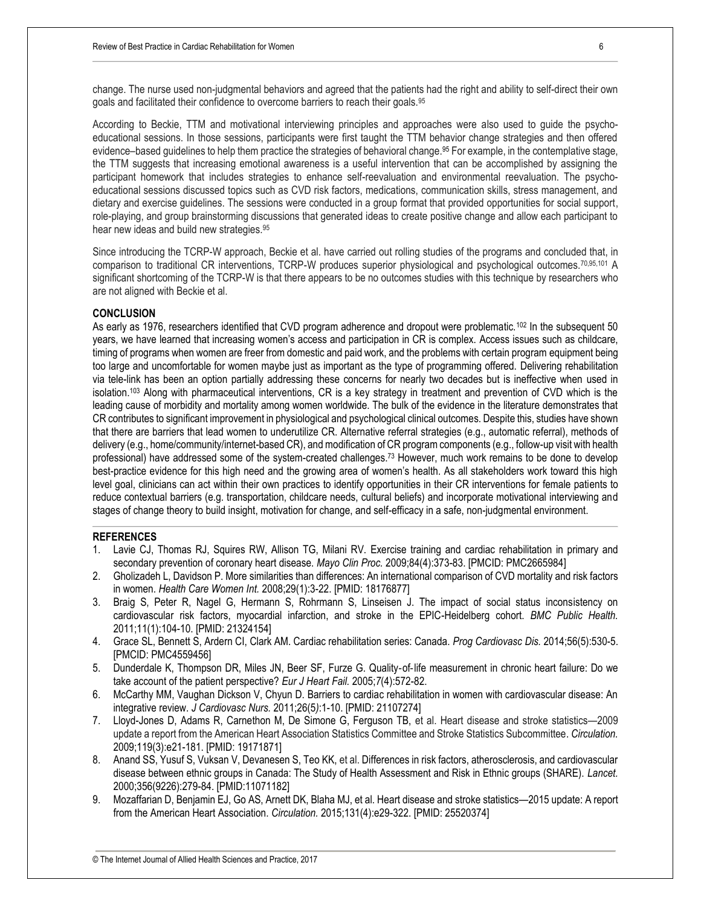change. The nurse used non-judgmental behaviors and agreed that the patients had the right and ability to self-direct their own goals and facilitated their confidence to overcome barriers to reach their goals.<sup>95</sup>

According to Beckie, TTM and motivational interviewing principles and approaches were also used to guide the psychoeducational sessions. In those sessions, participants were first taught the TTM behavior change strategies and then offered evidence–based quidelines to help them practice the strategies of behavioral change.<sup>95</sup> For example, in the contemplative stage, the TTM suggests that increasing emotional awareness is a useful intervention that can be accomplished by assigning the participant homework that includes strategies to enhance self-reevaluation and environmental reevaluation. The psychoeducational sessions discussed topics such as CVD risk factors, medications, communication skills, stress management, and dietary and exercise guidelines. The sessions were conducted in a group format that provided opportunities for social support, role-playing, and group brainstorming discussions that generated ideas to create positive change and allow each participant to hear new ideas and build new strategies.<sup>95</sup>

Since introducing the TCRP-W approach, Beckie et al. have carried out rolling studies of the programs and concluded that, in comparison to traditional CR interventions, TCRP-W produces superior physiological and psychological outcomes.<sup>70,95,101</sup> A significant shortcoming of the TCRP-W is that there appears to be no outcomes studies with this technique by researchers who are not aligned with Beckie et al.

#### **CONCLUSION**

As early as 1976, researchers identified that CVD program adherence and dropout were problematic.<sup>102</sup> In the subsequent 50 years, we have learned that increasing women's access and participation in CR is complex. Access issues such as childcare, timing of programs when women are freer from domestic and paid work, and the problems with certain program equipment being too large and uncomfortable for women maybe just as important as the type of programming offered. Delivering rehabilitation via tele-link has been an option partially addressing these concerns for nearly two decades but is ineffective when used in isolation.<sup>103</sup> Along with pharmaceutical interventions, CR is a key strategy in treatment and prevention of CVD which is the leading cause of morbidity and mortality among women worldwide. The bulk of the evidence in the literature demonstrates that CR contributes to significant improvement in physiological and psychological clinical outcomes. Despite this, studies have shown that there are barriers that lead women to underutilize CR. Alternative referral strategies (e.g., automatic referral), methods of delivery (e.g., home/community/internet-based CR), and modification of CR program components (e.g., follow-up visit with health professional) have addressed some of the system-created challenges.<sup>73</sup> However, much work remains to be done to develop best-practice evidence for this high need and the growing area of women's health. As all stakeholders work toward this high level goal, clinicians can act within their own practices to identify opportunities in their CR interventions for female patients to reduce contextual barriers (e.g. transportation, childcare needs, cultural beliefs) and incorporate motivational interviewing and stages of change theory to build insight, motivation for change, and self-efficacy in a safe, non-judgmental environment.

#### **REFERENCES**

- 1. Lavie CJ, Thomas RJ, Squires RW, Allison TG, Milani RV. Exercise training and cardiac rehabilitation in primary and secondary prevention of coronary heart disease. *Mayo Clin Proc.* 2009;84(4):373-83. [PMCID: PMC2665984]
- 2. Gholizadeh L, Davidson P. More similarities than differences: An international comparison of CVD mortality and risk factors in women. *Health Care Women Int.* 2008;29(1):3-22. [PMID: 18176877]
- 3. Braig S, Peter R, Nagel G, Hermann S, Rohrmann S, Linseisen J. The impact of social status inconsistency on cardiovascular risk factors, myocardial infarction, and stroke in the EPIC-Heidelberg cohort. *BMC Public Health.*  2011;11(1):104-10. [PMID: 21324154]
- 4. Grace SL, Bennett S, Ardern CI, Clark AM. Cardiac rehabilitation series: Canada. *Prog Cardiovasc Dis.* 2014;56(5):530-5. [PMCID: PMC4559456]
- 5. Dunderdale K, Thompson DR, Miles JN, Beer SF, Furze G. Quality‐of‐life measurement in chronic heart failure: Do we take account of the patient perspective? *Eur J Heart Fail.* 2005;*7*(4):572-82.
- 6. McCarthy MM, Vaughan Dickson V, Chyun D. Barriers to cardiac rehabilitation in women with cardiovascular disease: An integrative review. *J Cardiovasc Nurs.* 2011;26(5*)*:1-10. [PMID: 21107274]
- 7. Lloyd-Jones D, Adams R, Carnethon M, De Simone G, Ferguson TB, et al. Heart disease and stroke statistics—2009 update a report from the American Heart Association Statistics Committee and Stroke Statistics Subcommittee. *Circulation.*  2009;119(3):e21-181. [PMID: 19171871]
- 8. Anand SS, Yusuf S, Vuksan V, Devanesen S, Teo KK, et al. Differences in risk factors, atherosclerosis, and cardiovascular disease between ethnic groups in Canada: The Study of Health Assessment and Risk in Ethnic groups (SHARE). *Lancet.*  2000;356(9226):279-84. [PMID:11071182]
- 9. Mozaffarian D, Benjamin EJ, Go AS, Arnett DK, Blaha MJ, et al. Heart disease and stroke statistics—2015 update: A report from the American Heart Association. *Circulation.* 2015;131(4):e29-322. [PMID: 25520374]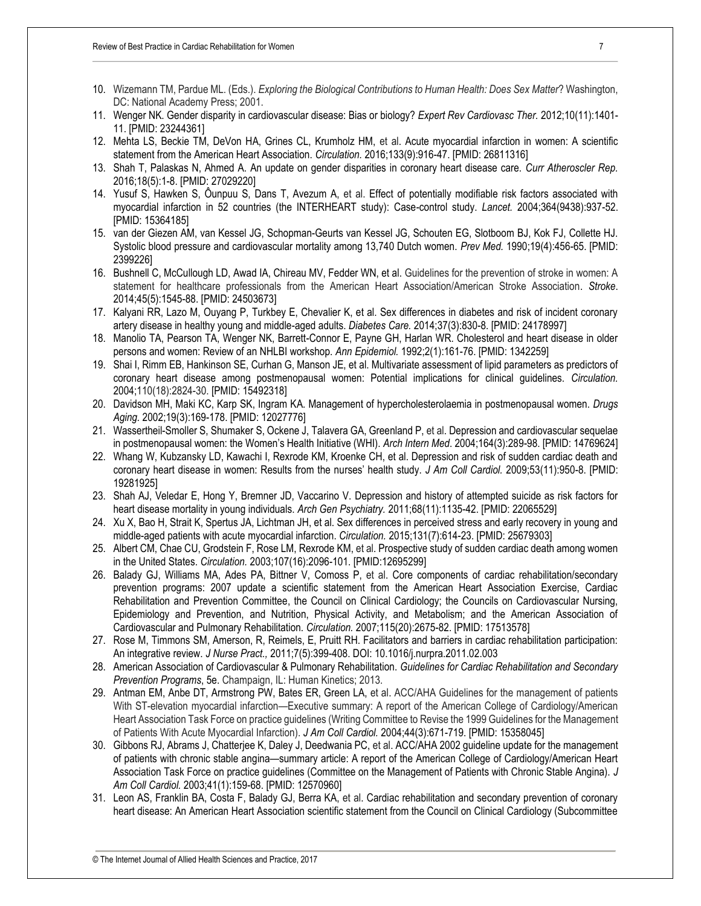- 10. Wizemann TM, Pardue ML. (Eds.). *Exploring the Biological Contributions to Human Health: Does Sex Matter*? Washington, DC: National Academy Press; 2001.
- 11. Wenger NK. Gender disparity in cardiovascular disease: Bias or biology? *Expert Rev Cardiovasc Ther.* 2012;10(11):1401- 11. [PMID: 23244361]
- 12. Mehta LS, Beckie TM, DeVon HA, Grines CL, Krumholz HM, et al. Acute myocardial infarction in women: A scientific statement from the American Heart Association. *Circulation.* 2016;133(9):916-47. [PMID: 26811316]
- 13. Shah T, Palaskas N, Ahmed A. An update on gender disparities in coronary heart disease care. *Curr Atheroscler Rep.*  2016;18(5):1-8. [PMID: 27029220]
- 14. Yusuf S, Hawken S, Ôunpuu S, Dans T, Avezum A, et al. Effect of potentially modifiable risk factors associated with myocardial infarction in 52 countries (the INTERHEART study): Case-control study. *Lancet.* 2004;364(9438):937-52. [PMID: 15364185]
- 15. van der Giezen AM, van Kessel JG, Schopman-Geurts van Kessel JG, Schouten EG, Slotboom BJ, Kok FJ, Collette HJ. Systolic blood pressure and cardiovascular mortality among 13,740 Dutch women. *Prev Med.* 1990;19(4):456-65. [PMID: 2399226]
- 16. Bushnell C, McCullough LD, Awad IA, Chireau MV, Fedder WN, et al. Guidelines for the prevention of stroke in women: A statement for healthcare professionals from the American Heart Association/American Stroke Association. *Stroke*. 2014;45(5):1545-88. [PMID: 24503673]
- 17. Kalyani RR, Lazo M, Ouyang P, Turkbey E, Chevalier K, et al. Sex differences in diabetes and risk of incident coronary artery disease in healthy young and middle-aged adults. *Diabetes Care.* 2014;37(3):830-8. [PMID: 24178997]
- 18. Manolio TA, Pearson TA, Wenger NK, Barrett-Connor E, Payne GH, Harlan WR. Cholesterol and heart disease in older persons and women: Review of an NHLBI workshop. *Ann Epidemiol.* 1992;2(1):161-76. [PMID: 1342259]
- 19. Shai I, Rimm EB, Hankinson SE, Curhan G, Manson JE, et al. Multivariate assessment of lipid parameters as predictors of coronary heart disease among postmenopausal women: Potential implications for clinical guidelines. *Circulation.*  2004;110(18):2824-30. [PMID: 15492318]
- 20. Davidson MH, Maki KC, Karp SK, Ingram KA. Management of hypercholesterolaemia in postmenopausal women. *Drugs Aging.* 2002;19(3):169-178. [PMID: 12027776]
- 21. Wassertheil-Smoller S, Shumaker S, Ockene J, Talavera GA, Greenland P, et al. Depression and cardiovascular sequelae in postmenopausal women: the Women's Health Initiative (WHI). *Arch Intern Med*. 2004;164(3):289-98. [PMID: 14769624]
- 22. Whang W, Kubzansky LD, Kawachi I, Rexrode KM, Kroenke CH, et al. Depression and risk of sudden cardiac death and coronary heart disease in women: Results from the nurses' health study. *J Am Coll Cardiol.* 2009;53(11):950-8. [PMID: 19281925]
- 23. Shah AJ, Veledar E, Hong Y, Bremner JD, Vaccarino V. Depression and history of attempted suicide as risk factors for heart disease mortality in young individuals. *Arch Gen Psychiatry.* 2011;68(11):1135-42. [PMID: 22065529]
- 24. Xu X, Bao H, Strait K, Spertus JA, Lichtman JH, et al. Sex differences in perceived stress and early recovery in young and middle-aged patients with acute myocardial infarction. *Circulation.* 2015;131(7):614-23. [PMID: 25679303]
- 25. Albert CM, Chae CU, Grodstein F, Rose LM, Rexrode KM, et al. Prospective study of sudden cardiac death among women in the United States. *Circulation.* 2003;107(16):2096-101. [PMID:12695299]
- 26. Balady GJ, Williams MA, Ades PA, Bittner V, Comoss P, et al. Core components of cardiac rehabilitation/secondary prevention programs: 2007 update a scientific statement from the American Heart Association Exercise, Cardiac Rehabilitation and Prevention Committee, the Council on Clinical Cardiology; the Councils on Cardiovascular Nursing, Epidemiology and Prevention, and Nutrition, Physical Activity, and Metabolism; and the American Association of Cardiovascular and Pulmonary Rehabilitation. *Circulation.* 2007;115(20):2675-82. [PMID: 17513578]
- 27. Rose M, Timmons SM, Amerson, R, Reimels, E, Pruitt RH. Facilitators and barriers in cardiac rehabilitation participation: An integrative review. *J Nurse Pract.,* 2011;7(5):399-408. DOI: 10.1016/j.nurpra.2011.02.003
- 28. American Association of Cardiovascular & Pulmonary Rehabilitation. *Guidelines for Cardiac Rehabilitation and Secondary Prevention Programs*, 5e. Champaign, IL: Human Kinetics; 2013.
- 29. Antman EM, Anbe DT, Armstrong PW, Bates ER, Green LA, et al. ACC/AHA Guidelines for the management of patients With ST-elevation myocardial infarction—Executive summary: A report of the American College of Cardiology/American Heart Association Task Force on practice guidelines (Writing Committee to Revise the 1999 Guidelines for the Management of Patients With Acute Myocardial Infarction). *J Am Coll Cardiol.* 2004;44(3):671-719. [PMID: 15358045]
- 30. Gibbons RJ, Abrams J, Chatterjee K, Daley J, Deedwania PC, et al. ACC/AHA 2002 guideline update for the management of patients with chronic stable angina—summary article: A report of the American College of Cardiology/American Heart Association Task Force on practice guidelines (Committee on the Management of Patients with Chronic Stable Angina). *J Am Coll Cardiol.* 2003;41(1):159-68. [PMID: 12570960]
- 31. Leon AS, Franklin BA, Costa F, Balady GJ, Berra KA, et al. Cardiac rehabilitation and secondary prevention of coronary heart disease: An American Heart Association scientific statement from the Council on Clinical Cardiology (Subcommittee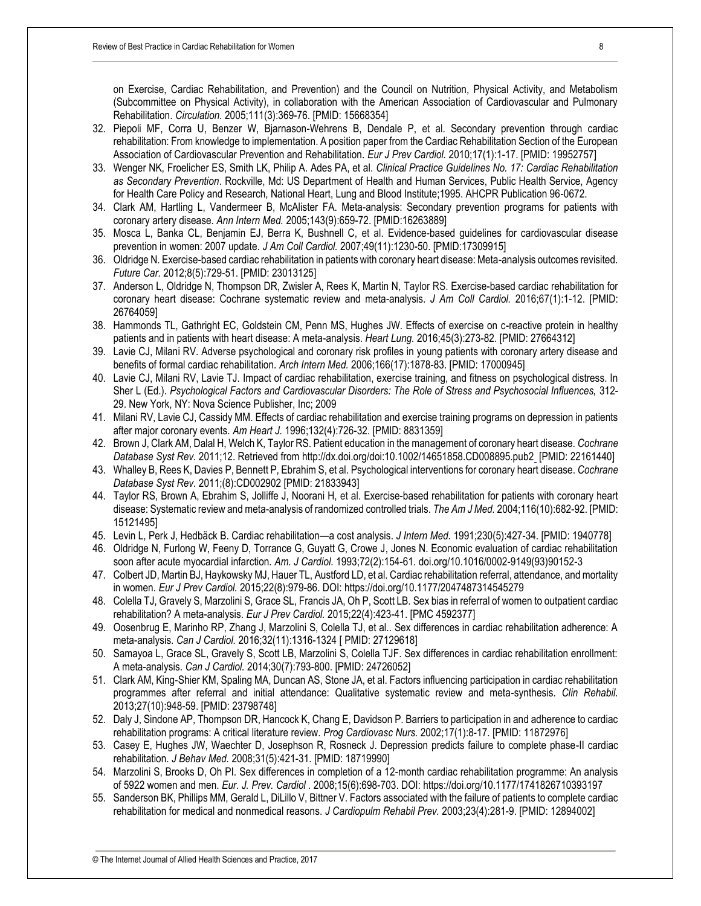on Exercise, Cardiac Rehabilitation, and Prevention) and the Council on Nutrition, Physical Activity, and Metabolism (Subcommittee on Physical Activity), in collaboration with the American Association of Cardiovascular and Pulmonary Rehabilitation. *Circulation.* 2005;111(3):369-76. [PMID: 15668354]

- 32. Piepoli MF, Corra U, Benzer W, Bjarnason-Wehrens B, Dendale P, et al. Secondary prevention through cardiac rehabilitation: From knowledge to implementation. A position paper from the Cardiac Rehabilitation Section of the European Association of Cardiovascular Prevention and Rehabilitation. *Eur J Prev Cardiol.* 2010;17(1):1-17. [PMID: 19952757]
- 33. Wenger NK, Froelicher ES, Smith LK, Philip A. Ades PA, et al. *Clinical Practice Guidelines No. 17: Cardiac Rehabilitation as Secondary Prevention*. Rockville, Md: US Department of Health and Human Services, Public Health Service, Agency for Health Care Policy and Research, National Heart, Lung and Blood Institute;1995. AHCPR Publication 96-0672.
- 34. Clark AM, Hartling L, Vandermeer B, McAlister FA. Meta-analysis: Secondary prevention programs for patients with coronary artery disease. *Ann Intern Med.* 2005;143(9):659-72. [PMID:16263889]
- 35. Mosca L, Banka CL, Benjamin EJ, Berra K, Bushnell C, et al. Evidence-based guidelines for cardiovascular disease prevention in women: 2007 update. *J Am Coll Cardiol.* 2007;49(11):1230-50. [PMID:17309915]
- 36. Oldridge N. Exercise-based cardiac rehabilitation in patients with coronary heart disease: Meta-analysis outcomes revisited. *Future Car.* 2012;8(5):729-51. [PMID: 23013125]
- 37. Anderson L, Oldridge N, Thompson DR, Zwisler A, Rees K, Martin N, Taylor RS. Exercise-based cardiac rehabilitation for coronary heart disease: Cochrane systematic review and meta-analysis. *J Am Coll Cardiol.* 2016;67(1):1-12. [PMID: 26764059]
- 38. Hammonds TL, Gathright EC, Goldstein CM, Penn MS, Hughes JW. Effects of exercise on c-reactive protein in healthy patients and in patients with heart disease: A meta-analysis. *Heart Lung.* 2016;45(3):273-82. [PMID: 27664312]
- 39. Lavie CJ, Milani RV. Adverse psychological and coronary risk profiles in young patients with coronary artery disease and benefits of formal cardiac rehabilitation. *Arch Intern Med.* 2006;166(17):1878-83. [PMID: 17000945]
- 40. Lavie CJ, Milani RV, Lavie TJ. Impact of cardiac rehabilitation, exercise training, and fitness on psychological distress. In Sher L (Ed.). *Psychological Factors and Cardiovascular Disorders: The Role of Stress and Psychosocial Influences,* 312- 29. New York, NY: Nova Science Publisher, Inc; 2009
- 41. Milani RV, Lavie CJ, Cassidy MM. Effects of cardiac rehabilitation and exercise training programs on depression in patients after major coronary events. *Am Heart J.* 1996;132(4):726-32. [PMID: 8831359]
- 42. Brown J, Clark AM, Dalal H, Welch K, Taylor RS. Patient education in the management of coronary heart disease. *Cochrane Database Syst Rev.* 2011;12. Retrieved from http://dx.doi.org/doi:10.1002/14651858.CD008895.pub2 [PMID: 22161440]
- 43. Whalley B, Rees K, Davies P, Bennett P, Ebrahim S, et al. Psychological interventions for coronary heart disease. *Cochrane Database Syst Rev.* 2011;(8):CD002902 [PMID: 21833943]
- 44. Taylor RS, Brown A, Ebrahim S, Jolliffe J, Noorani H, et al. Exercise-based rehabilitation for patients with coronary heart disease: Systematic review and meta-analysis of randomized controlled trials. *The Am J Med.* 2004;116(10):682-92. [PMID: 15121495]
- 45. Levin L, Perk J, Hedbäck B. Cardiac rehabilitation—a cost analysis. *J Intern Med.* 1991;230(5):427-34. [PMID: 1940778]
- 46. Oldridge N, Furlong W, Feeny D, Torrance G, Guyatt G, Crowe J, Jones N. Economic evaluation of cardiac rehabilitation soon after acute myocardial infarction. *Am. J Cardiol.* 1993;72(2):154-61. doi.org/10.1016/0002-9149(93)90152-3
- 47. Colbert JD, Martin BJ, Haykowsky MJ, Hauer TL, Austford LD, et al. Cardiac rehabilitation referral, attendance, and mortality in women. *Eur J Prev Cardiol.* 2015;22(8):979-86. DOI: https://doi.org/10.1177/2047487314545279
- 48. Colella TJ, Gravely S, Marzolini S, Grace SL, Francis JA, Oh P, Scott LB. Sex bias in referral of women to outpatient cardiac rehabilitation? A meta-analysis. *Eur J Prev Cardiol.* 2015;22(4):423-41. [PMC 4592377]
- 49. Oosenbrug E, Marinho RP, Zhang J, Marzolini S, Colella TJ, et al.. Sex differences in cardiac rehabilitation adherence: A meta-analysis. *Can J Cardiol.* 2016;32(11):1316-1324 [ PMID: 27129618]
- 50. Samayoa L, Grace SL, Gravely S, Scott LB, Marzolini S, Colella TJF. Sex differences in cardiac rehabilitation enrollment: A meta-analysis. *Can J Cardiol.* 2014;30(7):793-800. [PMID: 24726052]
- 51. Clark AM, King-Shier KM, Spaling MA, Duncan AS, Stone JA, et al. Factors influencing participation in cardiac rehabilitation programmes after referral and initial attendance: Qualitative systematic review and meta-synthesis. *Clin Rehabil.*  2013;27(10):948-59. [PMID: 23798748]
- 52. Daly J, Sindone AP, Thompson DR, Hancock K, Chang E, Davidson P. Barriers to participation in and adherence to cardiac rehabilitation programs: A critical literature review. *Prog Cardiovasc Nurs.* 2002;17(1):8-17. [PMID: 11872976]
- 53. Casey E, Hughes JW, Waechter D, Josephson R, Rosneck J. Depression predicts failure to complete phase-II cardiac rehabilitation. *J Behav Med.* 2008;31(5):421-31. [PMID: 18719990]
- 54. Marzolini S, Brooks D, Oh PI. Sex differences in completion of a 12-month cardiac rehabilitation programme: An analysis of 5922 women and men. *Eur. J. Prev. Cardiol .* 2008;15(6):698-703. DOI: https://doi.org/10.1177/1741826710393197
- 55. Sanderson BK, Phillips MM, Gerald L, DiLillo V, Bittner V. Factors associated with the failure of patients to complete cardiac rehabilitation for medical and nonmedical reasons. *J Cardiopulm Rehabil Prev.* 2003;23(4):281-9. [PMID: 12894002]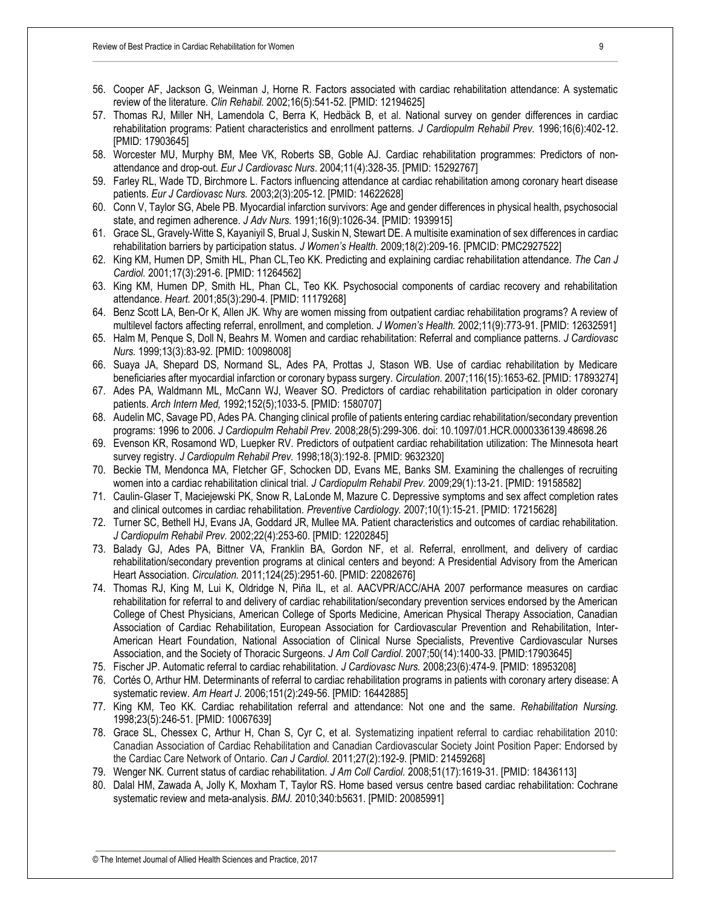- 56. Cooper AF, Jackson G, Weinman J, Horne R. Factors associated with cardiac rehabilitation attendance: A systematic review of the literature. *Clin Rehabil.* 2002;16(5):541-52. [PMID: 12194625]
- 57. Thomas RJ, Miller NH, Lamendola C, Berra K, Hedbäck B, et al. National survey on gender differences in cardiac rehabilitation programs: Patient characteristics and enrollment patterns. *J Cardiopulm Rehabil Prev.* 1996;16(6):402-12. [PMID: 17903645]
- 58. Worcester MU, Murphy BM, Mee VK, Roberts SB, Goble AJ. Cardiac rehabilitation programmes: Predictors of nonattendance and drop-out. *Eur J Cardiovasc Nurs*. 2004;11(4):328-35. [PMID: 15292767]
- 59. Farley RL, Wade TD, Birchmore L. Factors influencing attendance at cardiac rehabilitation among coronary heart disease patients. *Eur J Cardiovasc Nurs.* 2003;2(3):205-12. [PMID: 14622628]
- 60. Conn V, Taylor SG, Abele PB. Myocardial infarction survivors: Age and gender differences in physical health, psychosocial state, and regimen adherence. *J Adv Nurs.* 1991;16(9):1026-34. [PMID: 1939915]
- 61. Grace SL, Gravely-Witte S, Kayaniyil S, Brual J, Suskin N, Stewart DE. A multisite examination of sex differences in cardiac rehabilitation barriers by participation status. *J Women's Health.* 2009;18(2):209-16. [PMCID: PMC2927522]
- 62. King KM, Humen DP, Smith HL, Phan CL,Teo KK. Predicting and explaining cardiac rehabilitation attendance. *The Can J Cardiol.* 2001;17(3):291-6. [PMID: 11264562]
- 63. King KM, Humen DP, Smith HL, Phan CL, Teo KK. Psychosocial components of cardiac recovery and rehabilitation attendance. *Heart.* 2001;85(3):290-4. [PMID: 11179268]
- 64. Benz Scott LA, Ben-Or K, Allen JK. Why are women missing from outpatient cardiac rehabilitation programs? A review of multilevel factors affecting referral, enrollment, and completion. *J Women's Health.* 2002;11(9):773-91. [PMID: 12632591]
- 65. Halm M, Penque S, Doll N, Beahrs M. Women and cardiac rehabilitation: Referral and compliance patterns. *J Cardiovasc Nurs.* 1999;13(3):83-92. [PMID: 10098008]
- 66. Suaya JA, Shepard DS, Normand SL, Ades PA, Prottas J, Stason WB. Use of cardiac rehabilitation by Medicare beneficiaries after myocardial infarction or coronary bypass surgery. *Circulation.* 2007;116(15):1653-62. [PMID: 17893274]
- 67. Ades PA, Waldmann ML, McCann WJ, Weaver SO. Predictors of cardiac rehabilitation participation in older coronary patients. *Arch Intern Med,* 1992;152(5);1033-5. [PMID: 1580707]
- 68. Audelin MC, Savage PD, Ades PA. Changing clinical profile of patients entering cardiac rehabilitation/secondary prevention programs: 1996 to 2006. *J Cardiopulm Rehabil Prev.* 2008;28(5):299-306. doi: 10.1097/01.HCR.0000336139.48698.26
- 69. Evenson KR, Rosamond WD, Luepker RV. Predictors of outpatient cardiac rehabilitation utilization: The Minnesota heart survey registry. *J Cardiopulm Rehabil Prev.* 1998;18(3):192-8. [PMID: 9632320]
- 70. Beckie TM, Mendonca MA, Fletcher GF, Schocken DD, Evans ME, Banks SM. Examining the challenges of recruiting women into a cardiac rehabilitation clinical trial. *J Cardiopulm Rehabil Prev.* 2009;29(1):13-21. [PMID: 19158582]
- 71. Caulin‐Glaser T, Maciejewski PK, Snow R, LaLonde M, Mazure C. Depressive symptoms and sex affect completion rates and clinical outcomes in cardiac rehabilitation. *Preventive Cardiology.* 2007;10(1):15-21. [PMID: 17215628]
- 72. Turner SC, Bethell HJ, Evans JA, Goddard JR, Mullee MA. Patient characteristics and outcomes of cardiac rehabilitation. *J Cardiopulm Rehabil Prev.* 2002;22(4):253-60. [PMID: 12202845]
- 73. Balady GJ, Ades PA, Bittner VA, Franklin BA, Gordon NF, et al. Referral, enrollment, and delivery of cardiac rehabilitation/secondary prevention programs at clinical centers and beyond: A Presidential Advisory from the American Heart Association. *Circulation.* 2011;124(25):2951-60. [PMID: 22082676]
- 74. Thomas RJ, King M, Lui K, Oldridge N, Piña IL, et al. AACVPR/ACC/AHA 2007 performance measures on cardiac rehabilitation for referral to and delivery of cardiac rehabilitation/secondary prevention services endorsed by the American College of Chest Physicians, American College of Sports Medicine, American Physical Therapy Association, Canadian Association of Cardiac Rehabilitation, European Association for Cardiovascular Prevention and Rehabilitation, Inter-American Heart Foundation, National Association of Clinical Nurse Specialists, Preventive Cardiovascular Nurses Association, and the Society of Thoracic Surgeons. *J Am Coll Cardiol*. 2007;50(14):1400-33. [PMID:17903645]
- 75. Fischer JP. Automatic referral to cardiac rehabilitation. *J Cardiovasc Nurs.* 2008;23(6):474-9. [PMID: 18953208]
- 76. Cortés O, Arthur HM. Determinants of referral to cardiac rehabilitation programs in patients with coronary artery disease: A systematic review. *Am Heart J.* 2006;151(2):249-56. [PMID: 16442885]
- 77. King KM, Teo KK. Cardiac rehabilitation referral and attendance: Not one and the same. *Rehabilitation Nursing.*  1998;23(5):246-51. [PMID: 10067639]
- 78. Grace SL, Chessex C, Arthur H, Chan S, Cyr C, et al. Systematizing inpatient referral to cardiac rehabilitation 2010: Canadian Association of Cardiac Rehabilitation and Canadian Cardiovascular Society Joint Position Paper: Endorsed by the Cardiac Care Network of Ontario. *Can J Cardiol.* 2011;27(2):192-9. [PMID: 21459268]
- 79. Wenger NK. Current status of cardiac rehabilitation. *J Am Coll Cardiol.* 2008;51(17):1619-31. [PMID: 18436113]
- 80. Dalal HM, Zawada A, Jolly K, Moxham T, Taylor RS. Home based versus centre based cardiac rehabilitation: Cochrane systematic review and meta-analysis. *BMJ.* 2010;340:b5631. [PMID: 20085991]